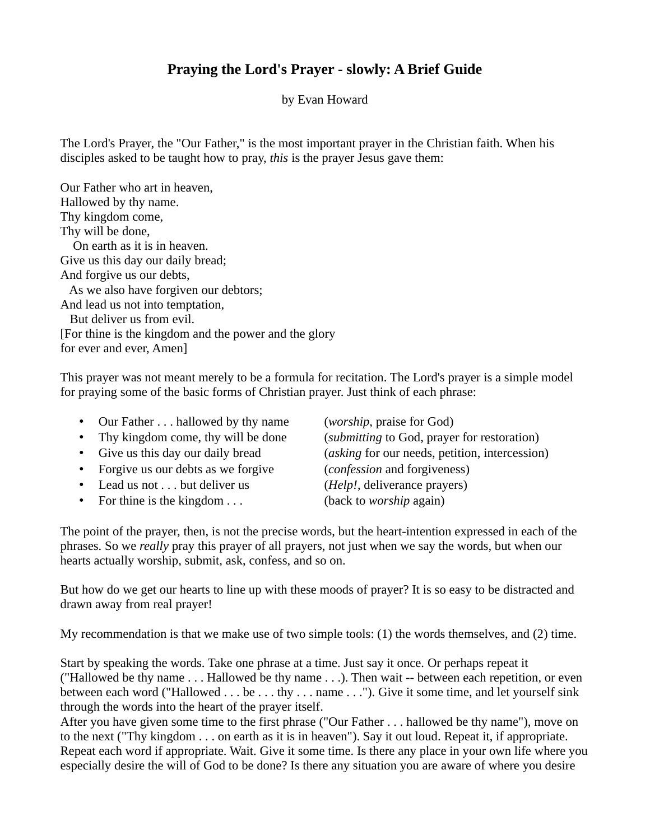## **Praying the Lord's Prayer - slowly: A Brief Guide**

by Evan Howard

The Lord's Prayer, the "Our Father," is the most important prayer in the Christian faith. When his disciples asked to be taught how to pray, *this* is the prayer Jesus gave them:

Our Father who art in heaven, Hallowed by thy name. Thy kingdom come, Thy will be done, On earth as it is in heaven. Give us this day our daily bread; And forgive us our debts, As we also have forgiven our debtors; And lead us not into temptation, But deliver us from evil. [For thine is the kingdom and the power and the glory for ever and ever, Amen]

This prayer was not meant merely to be a formula for recitation. The Lord's prayer is a simple model for praying some of the basic forms of Christian prayer. Just think of each phrase:

| • Our Father hallowed by thy name    | ( <i>worship</i> , praise for God)             |
|--------------------------------------|------------------------------------------------|
| • Thy kingdom come, thy will be done | (submitting to God, prayer for restoration)    |
| • Give us this day our daily bread   | (asking for our needs, petition, intercession) |
| • Forgive us our debts as we forgive | ( <i>confession</i> and forgiveness)           |
| • Lead us not but deliver us         | ( <i>Help!</i> , deliverance prayers)          |

• For thine is the kingdom . . . (back to *worship* again)

The point of the prayer, then, is not the precise words, but the heart-intention expressed in each of the phrases. So we *really* pray this prayer of all prayers, not just when we say the words, but when our hearts actually worship, submit, ask, confess, and so on.

But how do we get our hearts to line up with these moods of prayer? It is so easy to be distracted and drawn away from real prayer!

My recommendation is that we make use of two simple tools: (1) the words themselves, and (2) time.

Start by speaking the words. Take one phrase at a time. Just say it once. Or perhaps repeat it ("Hallowed be thy name . . . Hallowed be thy name . . .). Then wait -- between each repetition, or even between each word ("Hallowed . . . be . . . thy . . . name . . ."). Give it some time, and let yourself sink through the words into the heart of the prayer itself.

After you have given some time to the first phrase ("Our Father . . . hallowed be thy name"), move on to the next ("Thy kingdom . . . on earth as it is in heaven"). Say it out loud. Repeat it, if appropriate. Repeat each word if appropriate. Wait. Give it some time. Is there any place in your own life where you especially desire the will of God to be done? Is there any situation you are aware of where you desire